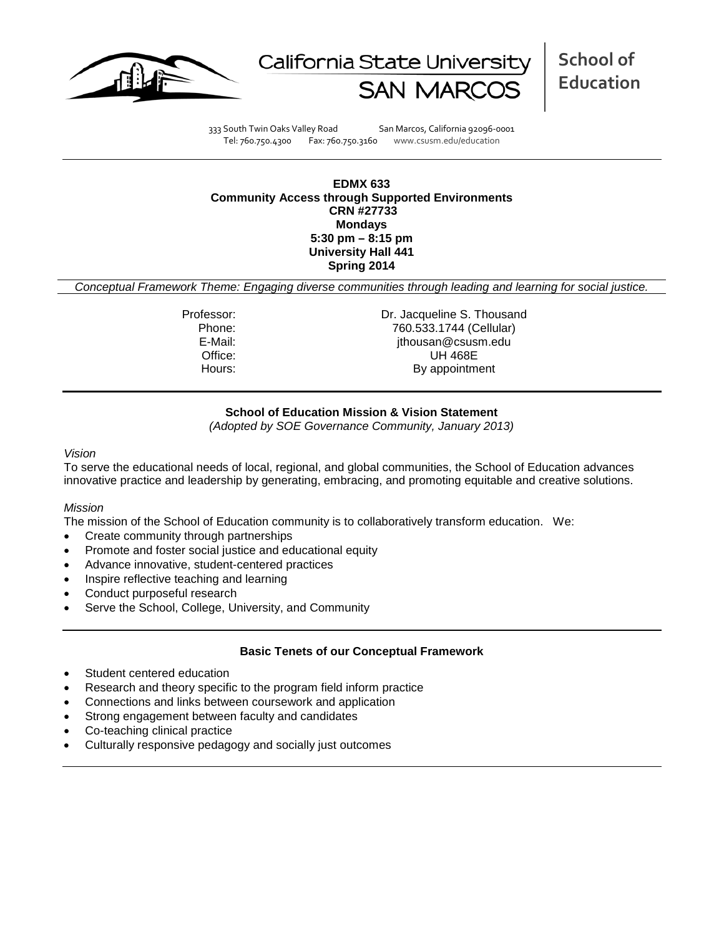



**School of Education**

333 South Twin Oaks Valley Road San Marcos, California 92096-0001 Tel: 760.750.4300 Fax: 760.750.3160 www.csusm.edu/education

#### **EDMX 633 Community Access through Supported Environments CRN #27733 Mondays 5:30 pm – 8:15 pm University Hall 441 Spring 2014**

*Conceptual Framework Theme: Engaging diverse communities through leading and learning for social justice.*

Professor: Dr. Jacqueline S. Thousand Phone: 760.533.1744 (Cellular)<br>E-Mail: Film ithousan@csusm.edu jthousan@csusm.edu Office: UH 468E Hours: By appointment

# **School of Education Mission & Vision Statement**

*(Adopted by SOE Governance Community, January 2013)*

#### *Vision*

To serve the educational needs of local, regional, and global communities, the School of Education advances innovative practice and leadership by generating, embracing, and promoting equitable and creative solutions.

#### *Mission*

The mission of the School of Education community is to collaboratively transform education. We:

- Create community through partnerships
- Promote and foster social justice and educational equity
- Advance innovative, student-centered practices
- Inspire reflective teaching and learning
- Conduct purposeful research
- Serve the School, College, University, and Community

# **Basic Tenets of our Conceptual Framework**

- Student centered education
- Research and theory specific to the program field inform practice
- Connections and links between coursework and application
- Strong engagement between faculty and candidates
- Co-teaching clinical practice
- Culturally responsive pedagogy and socially just outcomes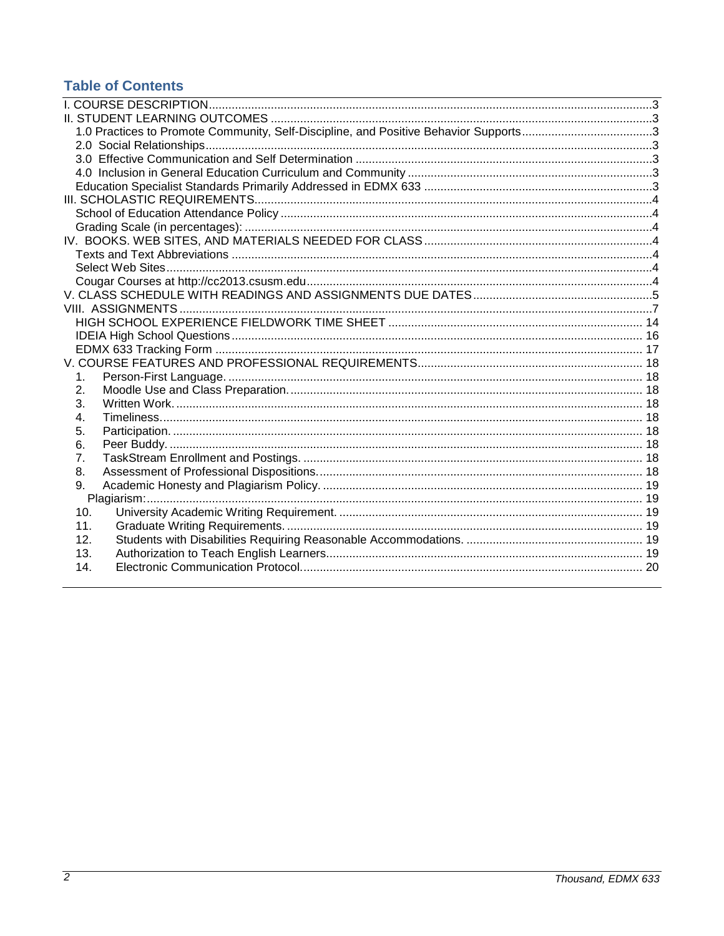# **Table of Contents**

<span id="page-1-0"></span>

| 1.  |  |
|-----|--|
| 2.  |  |
| 3.  |  |
| 4.  |  |
| 5.  |  |
| 6.  |  |
| 7.  |  |
| 8.  |  |
| 9.  |  |
|     |  |
| 10. |  |
| 11. |  |
| 12. |  |
| 13. |  |
| 14. |  |
|     |  |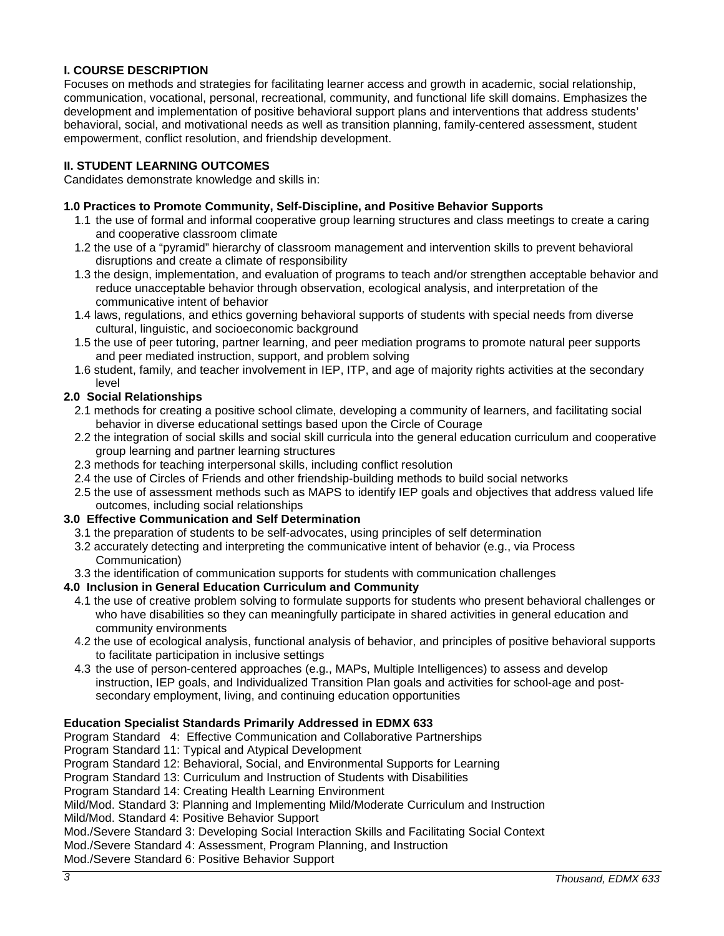# **I. COURSE DESCRIPTION**

Focuses on methods and strategies for facilitating learner access and growth in academic, social relationship, communication, vocational, personal, recreational, community, and functional life skill domains. Emphasizes the development and implementation of positive behavioral support plans and interventions that address students' behavioral, social, and motivational needs as well as transition planning, family-centered assessment, student empowerment, conflict resolution, and friendship development.

# <span id="page-2-0"></span>**II. STUDENT LEARNING OUTCOMES**

Candidates demonstrate knowledge and skills in:

### <span id="page-2-1"></span>**1.0 Practices to Promote Community, Self-Discipline, and Positive Behavior Supports**

- 1.1 the use of formal and informal cooperative group learning structures and class meetings to create a caring and cooperative classroom climate
- 1.2 the use of a "pyramid" hierarchy of classroom management and intervention skills to prevent behavioral disruptions and create a climate of responsibility
- 1.3 the design, implementation, and evaluation of programs to teach and/or strengthen acceptable behavior and reduce unacceptable behavior through observation, ecological analysis, and interpretation of the communicative intent of behavior
- 1.4 laws, regulations, and ethics governing behavioral supports of students with special needs from diverse cultural, linguistic, and socioeconomic background
- 1.5 the use of peer tutoring, partner learning, and peer mediation programs to promote natural peer supports and peer mediated instruction, support, and problem solving
- 1.6 student, family, and teacher involvement in IEP, ITP, and age of majority rights activities at the secondary level

# <span id="page-2-2"></span>**2.0 Social Relationships**

- 2.1 methods for creating a positive school climate, developing a community of learners, and facilitating social behavior in diverse educational settings based upon the Circle of Courage
- 2.2 the integration of social skills and social skill curricula into the general education curriculum and cooperative group learning and partner learning structures
- 2.3 methods for teaching interpersonal skills, including conflict resolution
- 2.4 the use of Circles of Friends and other friendship-building methods to build social networks
- 2.5 the use of assessment methods such as MAPS to identify IEP goals and objectives that address valued life outcomes, including social relationships

#### <span id="page-2-3"></span>**3.0 Effective Communication and Self Determination**

- 3.1 the preparation of students to be self-advocates, using principles of self determination
- 3.2 accurately detecting and interpreting the communicative intent of behavior (e.g., via Process Communication)
- 3.3 the identification of communication supports for students with communication challenges

#### <span id="page-2-4"></span>**4.0 Inclusion in General Education Curriculum and Community**

- 4.1 the use of creative problem solving to formulate supports for students who present behavioral challenges or who have disabilities so they can meaningfully participate in shared activities in general education and community environments
- 4.2 the use of ecological analysis, functional analysis of behavior, and principles of positive behavioral supports to facilitate participation in inclusive settings
- 4.3 the use of person-centered approaches (e.g., MAPs, Multiple Intelligences) to assess and develop instruction, IEP goals, and Individualized Transition Plan goals and activities for school-age and postsecondary employment, living, and continuing education opportunities

#### <span id="page-2-5"></span>**Education Specialist Standards Primarily Addressed in EDMX 633**

- Program Standard 4: Effective Communication and Collaborative Partnerships
- Program Standard 11: Typical and Atypical Development
- Program Standard 12: Behavioral, Social, and Environmental Supports for Learning
- Program Standard 13: Curriculum and Instruction of Students with Disabilities

Program Standard 14: Creating Health Learning Environment

Mild/Mod. Standard 3: Planning and Implementing Mild/Moderate Curriculum and Instruction

Mild/Mod. Standard 4: Positive Behavior Support

Mod./Severe Standard 3: Developing Social Interaction Skills and Facilitating Social Context

Mod./Severe Standard 4: Assessment, Program Planning, and Instruction

Mod./Severe Standard 6: Positive Behavior Support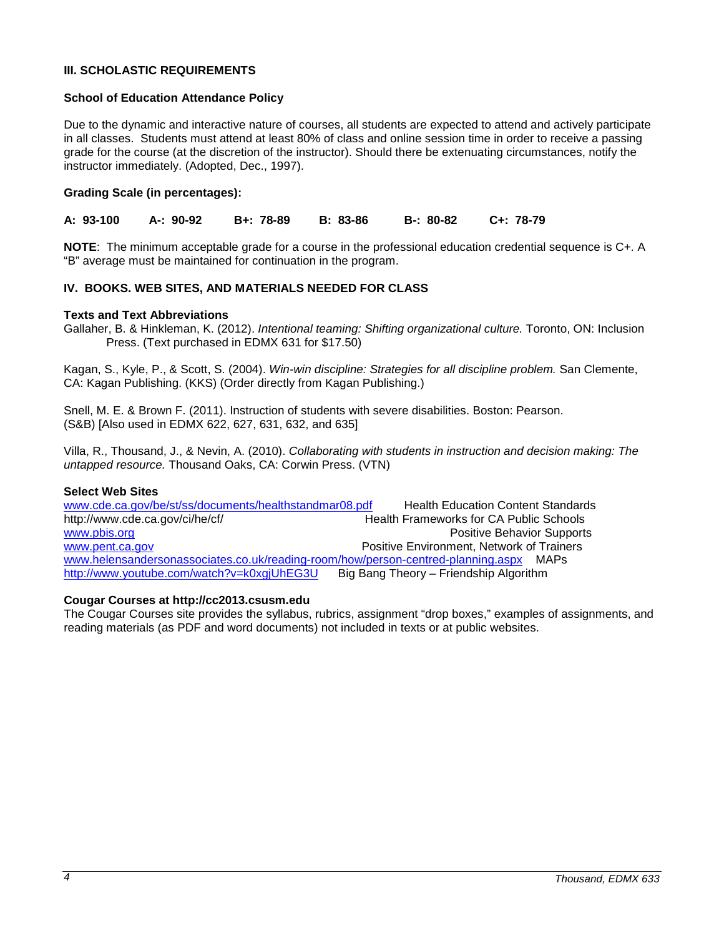#### <span id="page-3-0"></span>**III. SCHOLASTIC REQUIREMENTS**

#### <span id="page-3-1"></span>**School of Education Attendance Policy**

Due to the dynamic and interactive nature of courses, all students are expected to attend and actively participate in all classes. Students must attend at least 80% of class and online session time in order to receive a passing grade for the course (at the discretion of the instructor). Should there be extenuating circumstances, notify the instructor immediately. (Adopted, Dec., 1997).

### <span id="page-3-2"></span>**Grading Scale (in percentages):**

**A: 93-100 A-: 90-92 B+: 78-89 B: 83-86 B-: 80-82 C+: 78-79**

**NOTE**: The minimum acceptable grade for a course in the professional education credential sequence is C+. A "B" average must be maintained for continuation in the program.

# <span id="page-3-3"></span>**IV. BOOKS. WEB SITES, AND MATERIALS NEEDED FOR CLASS**

#### <span id="page-3-4"></span>**Texts and Text Abbreviations**

Gallaher, B. & Hinkleman, K. (2012). *Intentional teaming: Shifting organizational culture.* Toronto, ON: Inclusion Press. (Text purchased in EDMX 631 for \$17.50)

Kagan, S., Kyle, P., & Scott, S. (2004). *Win-win discipline: Strategies for all discipline problem.* San Clemente, CA: Kagan Publishing. (KKS) (Order directly from Kagan Publishing.)

Snell, M. E. & Brown F. (2011). Instruction of students with severe disabilities. Boston: Pearson. (S&B) [Also used in EDMX 622, 627, 631, 632, and 635]

Villa, R., Thousand, J., & Nevin, A. (2010). *Collaborating with students in instruction and decision making: The untapped resource.* Thousand Oaks, CA: Corwin Press. (VTN)

#### <span id="page-3-5"></span>**Select Web Sites**

[www.cde.ca.gov/be/st/ss/documents/healthstandmar08.pdf](http://www.cde.ca.gov/be/st/ss/documents/healthstandmar08.pdf) Health Education Content Standards<br>http://www.cde.ca.gov/ci/he/cf/ Health Frameworks for CA Public Schools Health Frameworks for CA Public Schools [www.pbis.org](http://www.pbis.org/) **Positive Behavior Supports** [www.pent.ca.gov](http://www.pent.ca.gov/) **Positive Environment, Network of Trainers** [www.helensandersonassociates.co.uk/reading-room/how/person-centred-planning.aspx](http://www.helensandersonassociates.co.uk/reading-room/how/person-centred-planning.aspx) MAPs <http://www.youtube.com/watch?v=k0xgjUhEG3U>Big Bang Theory – Friendship Algorithm

#### <span id="page-3-6"></span>**Cougar Courses at http://cc2013.csusm.edu**

The Cougar Courses site provides the syllabus, rubrics, assignment "drop boxes," examples of assignments, and reading materials (as PDF and word documents) not included in texts or at public websites.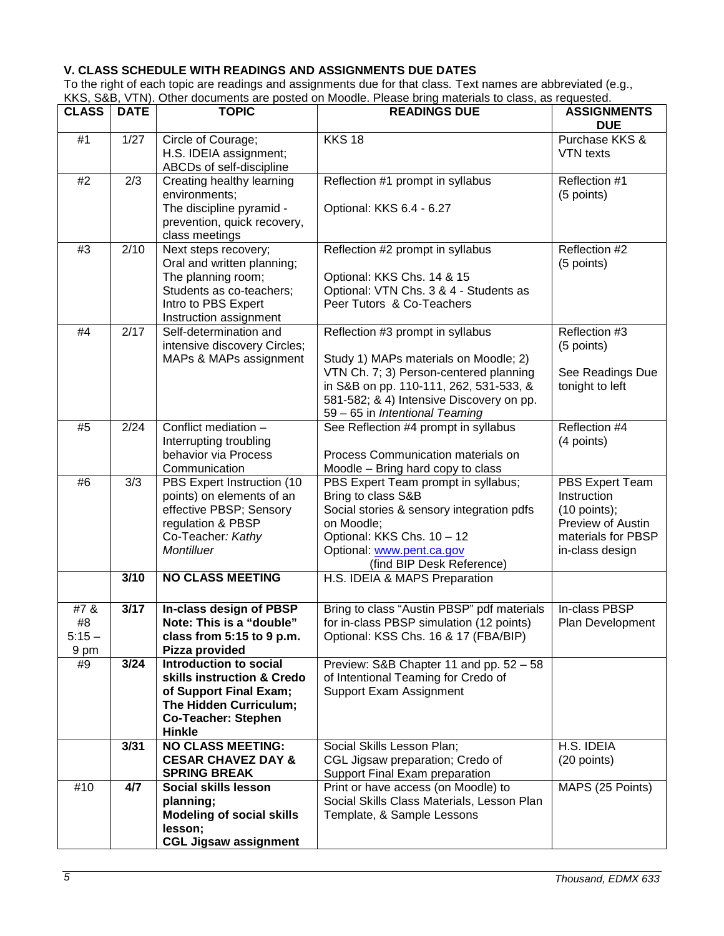# <span id="page-4-0"></span>**V. CLASS SCHEDULE WITH READINGS AND ASSIGNMENTS DUE DATES**

To the right of each topic are readings and assignments due for that class*.* Text names are abbreviated (e.g., KKS, S&B, VTN). Other documents are posted on Moodle. Please bring materials to class, as requested.

| <b>CLASS</b>                   | <b>DATE</b> | <b>TOPIC</b>                                                                                                                                                   | <b>READINGS DUE</b>                                                                                                                                                                                                                         | <b>ASSIGNMENTS</b><br><b>DUE</b>                                                                               |
|--------------------------------|-------------|----------------------------------------------------------------------------------------------------------------------------------------------------------------|---------------------------------------------------------------------------------------------------------------------------------------------------------------------------------------------------------------------------------------------|----------------------------------------------------------------------------------------------------------------|
| #1                             | 1/27        | Circle of Courage;<br>H.S. IDEIA assignment;<br>ABCDs of self-discipline                                                                                       | <b>KKS 18</b>                                                                                                                                                                                                                               | Purchase KKS &<br>VTN texts                                                                                    |
| #2                             | 2/3         | Creating healthy learning<br>environments;<br>The discipline pyramid -<br>prevention, quick recovery,<br>class meetings                                        | Reflection #1 prompt in syllabus<br>Optional: KKS 6.4 - 6.27                                                                                                                                                                                | Reflection #1<br>(5 points)                                                                                    |
| #3                             | 2/10        | Next steps recovery;<br>Oral and written planning;<br>The planning room;<br>Students as co-teachers;<br>Intro to PBS Expert<br>Instruction assignment          | Reflection #2 prompt in syllabus<br>Optional: KKS Chs. 14 & 15<br>Optional: VTN Chs. 3 & 4 - Students as<br>Peer Tutors & Co-Teachers                                                                                                       | Reflection #2<br>(5 points)                                                                                    |
| #4                             | 2/17        | Self-determination and<br>intensive discovery Circles;<br>MAPs & MAPs assignment                                                                               | Reflection #3 prompt in syllabus<br>Study 1) MAPs materials on Moodle; 2)<br>VTN Ch. 7; 3) Person-centered planning<br>in S&B on pp. 110-111, 262, 531-533, &<br>581-582; & 4) Intensive Discovery on pp.<br>59 - 65 in Intentional Teaming | Reflection #3<br>(5 points)<br>See Readings Due<br>tonight to left                                             |
| #5                             | 2/24        | Conflict mediation -<br>Interrupting troubling<br>behavior via Process<br>Communication                                                                        | See Reflection #4 prompt in syllabus<br>Process Communication materials on<br>Moodle - Bring hard copy to class                                                                                                                             | Reflection #4<br>(4 points)                                                                                    |
| #6                             | 3/3         | PBS Expert Instruction (10<br>points) on elements of an<br>effective PBSP; Sensory<br>regulation & PBSP<br>Co-Teacher: Kathy<br>Montilluer                     | PBS Expert Team prompt in syllabus;<br>Bring to class S&B<br>Social stories & sensory integration pdfs<br>on Moodle;<br>Optional: KKS Chs. 10 - 12<br>Optional: www.pent.ca.gov<br>(find BIP Desk Reference)                                | PBS Expert Team<br>Instruction<br>$(10$ points);<br>Preview of Austin<br>materials for PBSP<br>in-class design |
|                                | 3/10        | <b>NO CLASS MEETING</b>                                                                                                                                        | H.S. IDEIA & MAPS Preparation                                                                                                                                                                                                               |                                                                                                                |
| #7 &<br>#8<br>$5:15 -$<br>9 pm | 3/17        | In-class design of PBSP<br>Note: This is a "double"<br>class from 5:15 to 9 p.m.<br>Pizza provided                                                             | Bring to class "Austin PBSP" pdf materials<br>for in-class PBSP simulation (12 points)<br>Optional: KSS Chs. 16 & 17 (FBA/BIP)                                                                                                              | In-class PBSP<br>Plan Development                                                                              |
| #9                             | 3/24        | <b>Introduction to social</b><br>skills instruction & Credo<br>of Support Final Exam;<br>The Hidden Curriculum;<br><b>Co-Teacher: Stephen</b><br><b>Hinkle</b> | Preview: S&B Chapter 11 and pp. 52 - 58<br>of Intentional Teaming for Credo of<br>Support Exam Assignment                                                                                                                                   |                                                                                                                |
|                                | 3/31        | <b>NO CLASS MEETING:</b><br><b>CESAR CHAVEZ DAY &amp;</b><br><b>SPRING BREAK</b>                                                                               | Social Skills Lesson Plan;<br>CGL Jigsaw preparation; Credo of<br>Support Final Exam preparation                                                                                                                                            | H.S. IDEIA<br>(20 points)                                                                                      |
| #10                            | 4/7         | Social skills lesson<br>planning;<br><b>Modeling of social skills</b><br>lesson;<br><b>CGL Jigsaw assignment</b>                                               | Print or have access (on Moodle) to<br>Social Skills Class Materials, Lesson Plan<br>Template, & Sample Lessons                                                                                                                             | MAPS (25 Points)                                                                                               |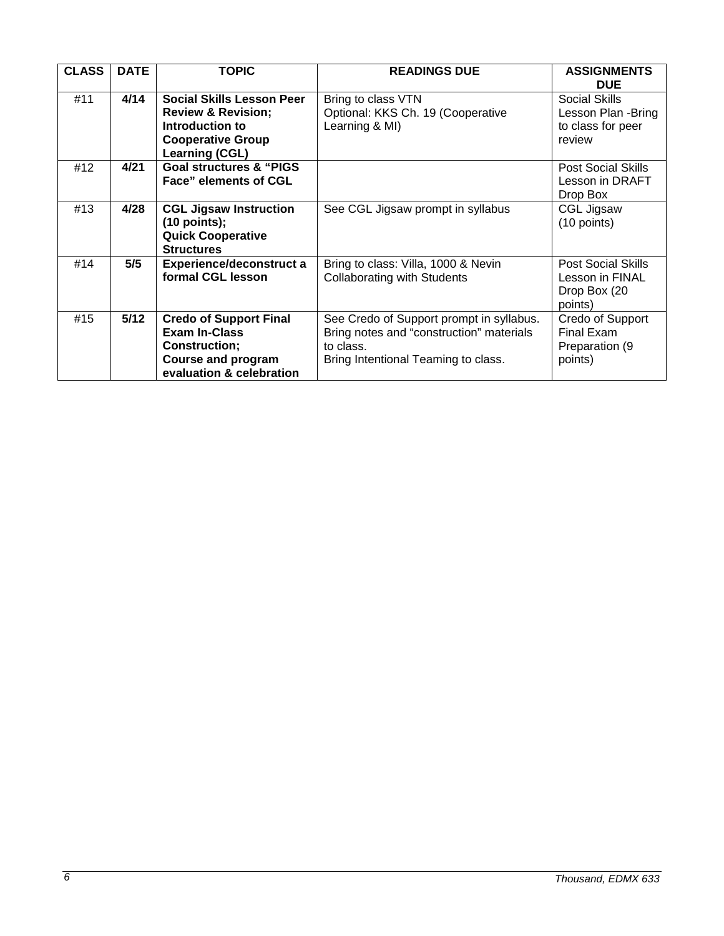| <b>CLASS</b> | <b>DATE</b> | <b>TOPIC</b>                                                                                                                       | <b>READINGS DUE</b>                                                                                                                      | <b>ASSIGNMENTS</b><br><b>DUE</b>                                        |
|--------------|-------------|------------------------------------------------------------------------------------------------------------------------------------|------------------------------------------------------------------------------------------------------------------------------------------|-------------------------------------------------------------------------|
| #11          | 4/14        | Social Skills Lesson Peer<br><b>Review &amp; Revision;</b><br>Introduction to<br><b>Cooperative Group</b><br><b>Learning (CGL)</b> | Bring to class VTN<br>Optional: KKS Ch. 19 (Cooperative<br>Learning & MI)                                                                | Social Skills<br>Lesson Plan - Bring<br>to class for peer<br>review     |
| #12          | 4/21        | <b>Goal structures &amp; "PIGS</b><br><b>Face" elements of CGL</b>                                                                 |                                                                                                                                          | <b>Post Social Skills</b><br>Lesson in DRAFT<br>Drop Box                |
| #13          | 4/28        | <b>CGL Jigsaw Instruction</b><br>$(10$ points);<br><b>Quick Cooperative</b><br><b>Structures</b>                                   | See CGL Jigsaw prompt in syllabus                                                                                                        | CGL Jigsaw<br>(10 points)                                               |
| #14          | 5/5         | <b>Experience/deconstruct a</b><br>formal CGL lesson                                                                               | Bring to class: Villa, 1000 & Nevin<br><b>Collaborating with Students</b>                                                                | <b>Post Social Skills</b><br>Lesson in FINAL<br>Drop Box (20<br>points) |
| #15          | $5/12$      | <b>Credo of Support Final</b><br><b>Exam In-Class</b><br>Construction;<br><b>Course and program</b><br>evaluation & celebration    | See Credo of Support prompt in syllabus.<br>Bring notes and "construction" materials<br>to class.<br>Bring Intentional Teaming to class. | Credo of Support<br>Final Exam<br>Preparation (9<br>points)             |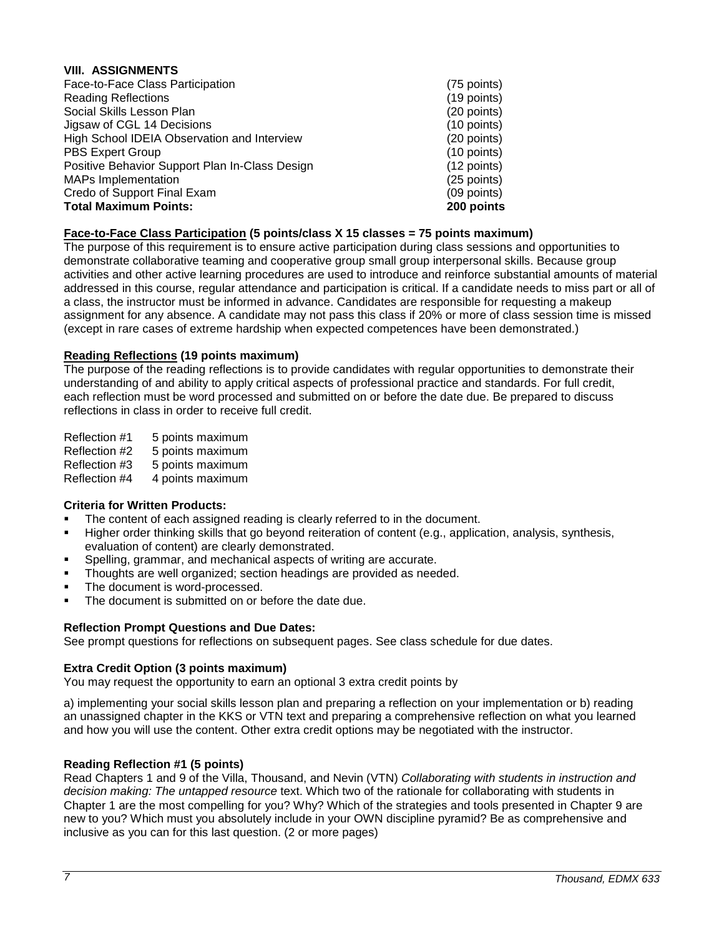### <span id="page-6-0"></span>**VIII. ASSIGNMENTS**

| (75 points)   |
|---------------|
| $(19$ points) |
| (20 points)   |
| (10 points)   |
| (20 points)   |
| $(10$ points) |
| (12 points)   |
| (25 points)   |
| $(09$ points) |
| 200 points    |
|               |

# **Face-to-Face Class Participation (5 points/class X 15 classes = 75 points maximum)**

The purpose of this requirement is to ensure active participation during class sessions and opportunities to demonstrate collaborative teaming and cooperative group small group interpersonal skills. Because group activities and other active learning procedures are used to introduce and reinforce substantial amounts of material addressed in this course, regular attendance and participation is critical. If a candidate needs to miss part or all of a class, the instructor must be informed in advance. Candidates are responsible for requesting a makeup assignment for any absence. A candidate may not pass this class if 20% or more of class session time is missed (except in rare cases of extreme hardship when expected competences have been demonstrated.)

### **Reading Reflections (19 points maximum)**

The purpose of the reading reflections is to provide candidates with regular opportunities to demonstrate their understanding of and ability to apply critical aspects of professional practice and standards. For full credit, each reflection must be word processed and submitted on or before the date due. Be prepared to discuss reflections in class in order to receive full credit.

Reflection #1 5 points maximum Reflection #2 5 points maximum Reflection #3 5 points maximum<br>Reflection #4 4 points maximum 4 points maximum

# **Criteria for Written Products:**

- The content of each assigned reading is clearly referred to in the document.
- Higher order thinking skills that go beyond reiteration of content (e.g., application, analysis, synthesis, evaluation of content) are clearly demonstrated.
- Spelling, grammar, and mechanical aspects of writing are accurate.
- Thoughts are well organized; section headings are provided as needed.
- The document is word-processed.
- The document is submitted on or before the date due.

#### **Reflection Prompt Questions and Due Dates:**

See prompt questions for reflections on subsequent pages. See class schedule for due dates.

#### **Extra Credit Option (3 points maximum)**

You may request the opportunity to earn an optional 3 extra credit points by

a) implementing your social skills lesson plan and preparing a reflection on your implementation or b) reading an unassigned chapter in the KKS or VTN text and preparing a comprehensive reflection on what you learned and how you will use the content. Other extra credit options may be negotiated with the instructor.

#### **Reading Reflection #1 (5 points)**

Read Chapters 1 and 9 of the Villa, Thousand, and Nevin (VTN) *Collaborating with students in instruction and decision making: The untapped resource* text. Which two of the rationale for collaborating with students in Chapter 1 are the most compelling for you? Why? Which of the strategies and tools presented in Chapter 9 are new to you? Which must you absolutely include in your OWN discipline pyramid? Be as comprehensive and inclusive as you can for this last question. (2 or more pages)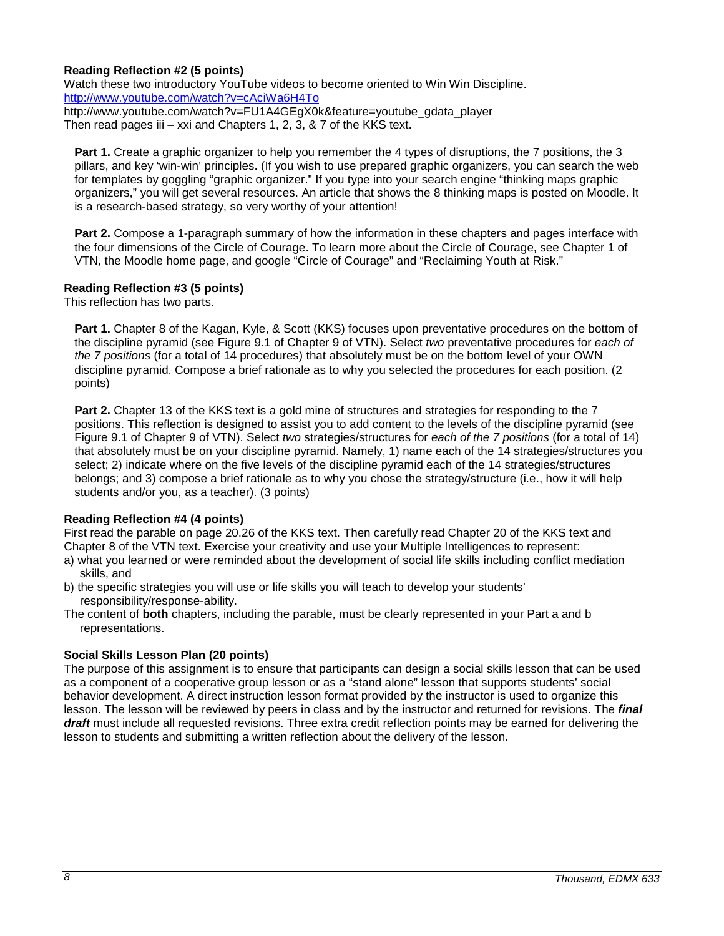### **Reading Reflection #2 (5 points)**

Watch these two introductory YouTube videos to become oriented to Win Win Discipline. <http://www.youtube.com/watch?v=cAciWa6H4To> [http://www.youtube.com/watch?v=FU1A4GEgX0k&feature=youtube\\_gdata\\_player](http://www.youtube.com/watch?v=FU1A4GEgX0k&feature=youtube_gdata_player)

Then read pages iii – xxi and Chapters 1, 2, 3, & 7 of the KKS text.

**Part 1.** Create a graphic organizer to help you remember the 4 types of disruptions, the 7 positions, the 3 pillars, and key 'win-win' principles. (If you wish to use prepared graphic organizers, you can search the web for templates by goggling "graphic organizer." If you type into your search engine "thinking maps graphic organizers," you will get several resources. An article that shows the 8 thinking maps is posted on Moodle. It is a research-based strategy, so very worthy of your attention!

**Part 2.** Compose a 1-paragraph summary of how the information in these chapters and pages interface with the four dimensions of the Circle of Courage. To learn more about the Circle of Courage, see Chapter 1 of VTN, the Moodle home page, and google "Circle of Courage" and "Reclaiming Youth at Risk."

# **Reading Reflection #3 (5 points)**

This reflection has two parts.

**Part 1.** Chapter 8 of the Kagan, Kyle, & Scott (KKS) focuses upon preventative procedures on the bottom of the discipline pyramid (see Figure 9.1 of Chapter 9 of VTN). Select *two* preventative procedures for *each of the 7 positions* (for a total of 14 procedures) that absolutely must be on the bottom level of your OWN discipline pyramid. Compose a brief rationale as to why you selected the procedures for each position. (2 points)

**Part 2.** Chapter 13 of the KKS text is a gold mine of structures and strategies for responding to the 7 positions. This reflection is designed to assist you to add content to the levels of the discipline pyramid (see Figure 9.1 of Chapter 9 of VTN). Select *two* strategies/structures for *each of the 7 positions* (for a total of 14) that absolutely must be on your discipline pyramid. Namely, 1) name each of the 14 strategies/structures you select; 2) indicate where on the five levels of the discipline pyramid each of the 14 strategies/structures belongs; and 3) compose a brief rationale as to why you chose the strategy/structure (i.e., how it will help students and/or you, as a teacher). (3 points)

#### **Reading Reflection #4 (4 points)**

First read the parable on page 20.26 of the KKS text. Then carefully read Chapter 20 of the KKS text and Chapter 8 of the VTN text. Exercise your creativity and use your Multiple Intelligences to represent:

- a) what you learned or were reminded about the development of social life skills including conflict mediation skills, and
- b) the specific strategies you will use or life skills you will teach to develop your students' responsibility/response-ability.
- The content of **both** chapters, including the parable, must be clearly represented in your Part a and b representations.

#### **Social Skills Lesson Plan (20 points)**

The purpose of this assignment is to ensure that participants can design a social skills lesson that can be used as a component of a cooperative group lesson or as a "stand alone" lesson that supports students' social behavior development. A direct instruction lesson format provided by the instructor is used to organize this lesson. The lesson will be reviewed by peers in class and by the instructor and returned for revisions. The *final draft* must include all requested revisions. Three extra credit reflection points may be earned for delivering the lesson to students and submitting a written reflection about the delivery of the lesson.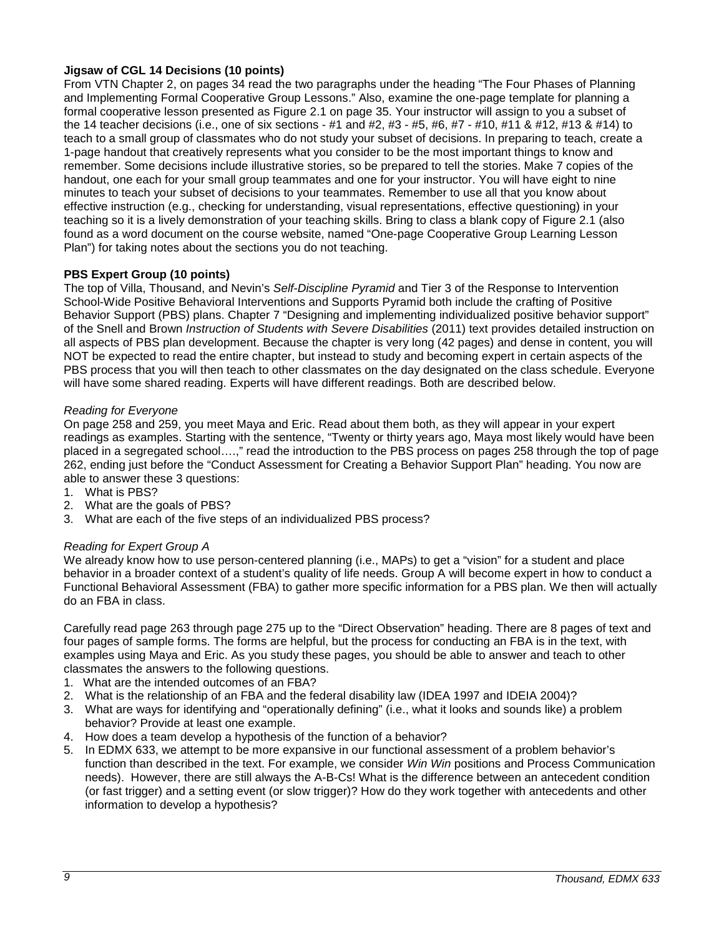# **Jigsaw of CGL 14 Decisions (10 points)**

From VTN Chapter 2, on pages 34 read the two paragraphs under the heading "The Four Phases of Planning and Implementing Formal Cooperative Group Lessons." Also, examine the one-page template for planning a formal cooperative lesson presented as Figure 2.1 on page 35. Your instructor will assign to you a subset of the 14 teacher decisions (i.e., one of six sections - #1 and #2, #3 - #5, #6, #7 - #10, #11 & #12, #13 & #14) to teach to a small group of classmates who do not study your subset of decisions. In preparing to teach, create a 1-page handout that creatively represents what you consider to be the most important things to know and remember. Some decisions include illustrative stories, so be prepared to tell the stories. Make 7 copies of the handout, one each for your small group teammates and one for your instructor. You will have eight to nine minutes to teach your subset of decisions to your teammates. Remember to use all that you know about effective instruction (e.g., checking for understanding, visual representations, effective questioning) in your teaching so it is a lively demonstration of your teaching skills. Bring to class a blank copy of Figure 2.1 (also found as a word document on the course website, named "One-page Cooperative Group Learning Lesson Plan") for taking notes about the sections you do not teaching.

# **PBS Expert Group (10 points)**

The top of Villa, Thousand, and Nevin's *Self-Discipline Pyramid* and Tier 3 of the Response to Intervention School-Wide Positive Behavioral Interventions and Supports Pyramid both include the crafting of Positive Behavior Support (PBS) plans. Chapter 7 "Designing and implementing individualized positive behavior support" of the Snell and Brown *Instruction of Students with Severe Disabilities* (2011) text provides detailed instruction on all aspects of PBS plan development. Because the chapter is very long (42 pages) and dense in content, you will NOT be expected to read the entire chapter, but instead to study and becoming expert in certain aspects of the PBS process that you will then teach to other classmates on the day designated on the class schedule. Everyone will have some shared reading. Experts will have different readings. Both are described below.

# *Reading for Everyone*

On page 258 and 259, you meet Maya and Eric. Read about them both, as they will appear in your expert readings as examples. Starting with the sentence, "Twenty or thirty years ago, Maya most likely would have been placed in a segregated school….," read the introduction to the PBS process on pages 258 through the top of page 262, ending just before the "Conduct Assessment for Creating a Behavior Support Plan" heading. You now are able to answer these 3 questions:

- 1. What is PBS?
- 2. What are the goals of PBS?
- 3. What are each of the five steps of an individualized PBS process?

# *Reading for Expert Group A*

We already know how to use person-centered planning (i.e., MAPs) to get a "vision" for a student and place behavior in a broader context of a student's quality of life needs. Group A will become expert in how to conduct a Functional Behavioral Assessment (FBA) to gather more specific information for a PBS plan. We then will actually do an FBA in class.

Carefully read page 263 through page 275 up to the "Direct Observation" heading. There are 8 pages of text and four pages of sample forms. The forms are helpful, but the process for conducting an FBA is in the text, with examples using Maya and Eric. As you study these pages, you should be able to answer and teach to other classmates the answers to the following questions.

- 1. What are the intended outcomes of an FBA?
- 2. What is the relationship of an FBA and the federal disability law (IDEA 1997 and IDEIA 2004)?
- 3. What are ways for identifying and "operationally defining" (i.e., what it looks and sounds like) a problem behavior? Provide at least one example.
- 4. How does a team develop a hypothesis of the function of a behavior?
- 5. In EDMX 633, we attempt to be more expansive in our functional assessment of a problem behavior's function than described in the text. For example, we consider *Win Win* positions and Process Communication needs). However, there are still always the A-B-Cs! What is the difference between an antecedent condition (or fast trigger) and a setting event (or slow trigger)? How do they work together with antecedents and other information to develop a hypothesis?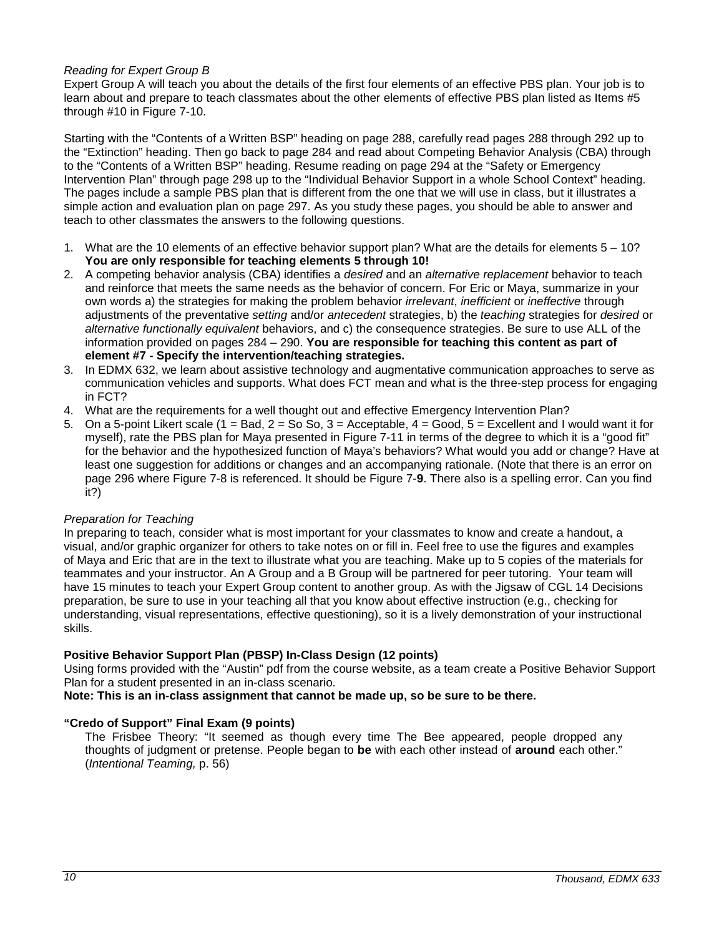# *Reading for Expert Group B*

Expert Group A will teach you about the details of the first four elements of an effective PBS plan. Your job is to learn about and prepare to teach classmates about the other elements of effective PBS plan listed as Items #5 through #10 in Figure 7-10.

Starting with the "Contents of a Written BSP" heading on page 288, carefully read pages 288 through 292 up to the "Extinction" heading. Then go back to page 284 and read about Competing Behavior Analysis (CBA) through to the "Contents of a Written BSP" heading. Resume reading on page 294 at the "Safety or Emergency Intervention Plan" through page 298 up to the "Individual Behavior Support in a whole School Context" heading. The pages include a sample PBS plan that is different from the one that we will use in class, but it illustrates a simple action and evaluation plan on page 297. As you study these pages, you should be able to answer and teach to other classmates the answers to the following questions.

- 1. What are the 10 elements of an effective behavior support plan? What are the details for elements 5 10? **You are only responsible for teaching elements 5 through 10!**
- 2. A competing behavior analysis (CBA) identifies a *desired* and an *alternative replacement* behavior to teach and reinforce that meets the same needs as the behavior of concern. For Eric or Maya, summarize in your own words a) the strategies for making the problem behavior *irrelevant*, *inefficient* or *ineffective* through adjustments of the preventative *setting* and/or *antecedent* strategies, b) the *teaching* strategies for *desired* or *alternative functionally equivalent* behaviors, and c) the consequence strategies. Be sure to use ALL of the information provided on pages 284 – 290. **You are responsible for teaching this content as part of element #7 - Specify the intervention/teaching strategies.**
- 3. In EDMX 632, we learn about assistive technology and augmentative communication approaches to serve as communication vehicles and supports. What does FCT mean and what is the three-step process for engaging in FCT?
- 4. What are the requirements for a well thought out and effective Emergency Intervention Plan?
- 5. On a 5-point Likert scale (1 = Bad, 2 = So So, 3 = Acceptable,  $4 = Good$ ,  $5 = Excell$  and I would want it for myself), rate the PBS plan for Maya presented in Figure 7-11 in terms of the degree to which it is a "good fit" for the behavior and the hypothesized function of Maya's behaviors? What would you add or change? Have at least one suggestion for additions or changes and an accompanying rationale. (Note that there is an error on page 296 where Figure 7-8 is referenced. It should be Figure 7-**9**. There also is a spelling error. Can you find it?)

# *Preparation for Teaching*

In preparing to teach, consider what is most important for your classmates to know and create a handout, a visual, and/or graphic organizer for others to take notes on or fill in. Feel free to use the figures and examples of Maya and Eric that are in the text to illustrate what you are teaching. Make up to 5 copies of the materials for teammates and your instructor. An A Group and a B Group will be partnered for peer tutoring. Your team will have 15 minutes to teach your Expert Group content to another group. As with the Jigsaw of CGL 14 Decisions preparation, be sure to use in your teaching all that you know about effective instruction (e.g., checking for understanding, visual representations, effective questioning), so it is a lively demonstration of your instructional skills.

# **Positive Behavior Support Plan (PBSP) In-Class Design (12 points)**

Using forms provided with the "Austin" pdf from the course website, as a team create a Positive Behavior Support Plan for a student presented in an in-class scenario.

**Note: This is an in-class assignment that cannot be made up, so be sure to be there.**

# **"Credo of Support" Final Exam (9 points)**

The Frisbee Theory: "It seemed as though every time The Bee appeared, people dropped any thoughts of judgment or pretense. People began to **be** with each other instead of **around** each other." (*Intentional Teaming,* p. 56)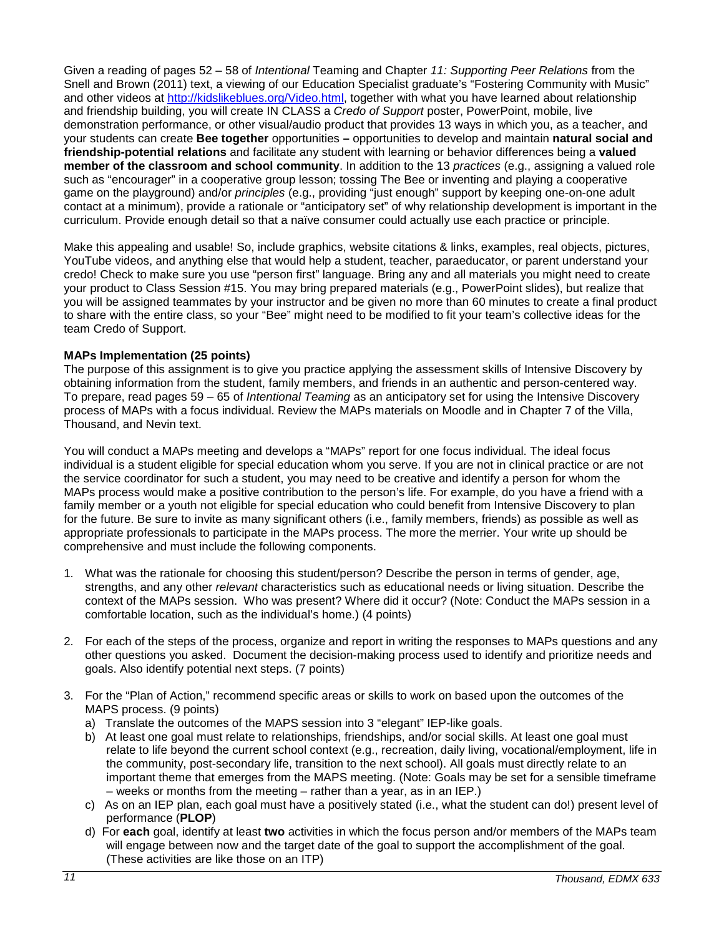Given a reading of pages 52 – 58 of *Intentional* Teaming and Chapter *11: Supporting Peer Relations* from the Snell and Brown (2011) text, a viewing of our Education Specialist graduate's "Fostering Community with Music" and other videos at [http://kidslikeblues.org/Video.html,](http://kidslikeblues.org/Video.html) together with what you have learned about relationship and friendship building, you will create IN CLASS a *Credo of Support* poster, PowerPoint, mobile, live demonstration performance, or other visual/audio product that provides 13 ways in which you, as a teacher, and your students can create **Bee together** opportunities **–** opportunities to develop and maintain **natural social and friendship-potential relations** and facilitate any student with learning or behavior differences being a **valued member of the classroom and school community**. In addition to the 13 *practices* (e.g., assigning a valued role such as "encourager" in a cooperative group lesson; tossing The Bee or inventing and playing a cooperative game on the playground) and/or *principles* (e.g., providing "just enough" support by keeping one-on-one adult contact at a minimum), provide a rationale or "anticipatory set" of why relationship development is important in the curriculum. Provide enough detail so that a naïve consumer could actually use each practice or principle.

Make this appealing and usable! So, include graphics, website citations & links, examples, real objects, pictures, YouTube videos, and anything else that would help a student, teacher, paraeducator, or parent understand your credo! Check to make sure you use "person first" language. Bring any and all materials you might need to create your product to Class Session #15. You may bring prepared materials (e.g., PowerPoint slides), but realize that you will be assigned teammates by your instructor and be given no more than 60 minutes to create a final product to share with the entire class, so your "Bee" might need to be modified to fit your team's collective ideas for the team Credo of Support.

# **MAPs Implementation (25 points)**

The purpose of this assignment is to give you practice applying the assessment skills of Intensive Discovery by obtaining information from the student, family members, and friends in an authentic and person-centered way. To prepare, read pages 59 – 65 of *Intentional Teaming* as an anticipatory set for using the Intensive Discovery process of MAPs with a focus individual. Review the MAPs materials on Moodle and in Chapter 7 of the Villa, Thousand, and Nevin text.

You will conduct a MAPs meeting and develops a "MAPs" report for one focus individual. The ideal focus individual is a student eligible for special education whom you serve. If you are not in clinical practice or are not the service coordinator for such a student, you may need to be creative and identify a person for whom the MAPs process would make a positive contribution to the person's life. For example, do you have a friend with a family member or a youth not eligible for special education who could benefit from Intensive Discovery to plan for the future. Be sure to invite as many significant others (i.e., family members, friends) as possible as well as appropriate professionals to participate in the MAPs process. The more the merrier. Your write up should be comprehensive and must include the following components.

- 1. What was the rationale for choosing this student/person? Describe the person in terms of gender, age, strengths, and any other *relevant* characteristics such as educational needs or living situation. Describe the context of the MAPs session. Who was present? Where did it occur? (Note: Conduct the MAPs session in a comfortable location, such as the individual's home.) (4 points)
- 2. For each of the steps of the process, organize and report in writing the responses to MAPs questions and any other questions you asked. Document the decision-making process used to identify and prioritize needs and goals. Also identify potential next steps. (7 points)
- 3. For the "Plan of Action," recommend specific areas or skills to work on based upon the outcomes of the MAPS process. (9 points)
	- a) Translate the outcomes of the MAPS session into 3 "elegant" IEP-like goals.
	- b) At least one goal must relate to relationships, friendships, and/or social skills. At least one goal must relate to life beyond the current school context (e.g., recreation, daily living, vocational/employment, life in the community, post-secondary life, transition to the next school). All goals must directly relate to an important theme that emerges from the MAPS meeting. (Note: Goals may be set for a sensible timeframe – weeks or months from the meeting – rather than a year, as in an IEP.)
	- c) As on an IEP plan, each goal must have a positively stated (i.e., what the student can do!) present level of performance (**PLOP**)
	- d) For **each** goal, identify at least **two** activities in which the focus person and/or members of the MAPs team will engage between now and the target date of the goal to support the accomplishment of the goal. (These activities are like those on an ITP)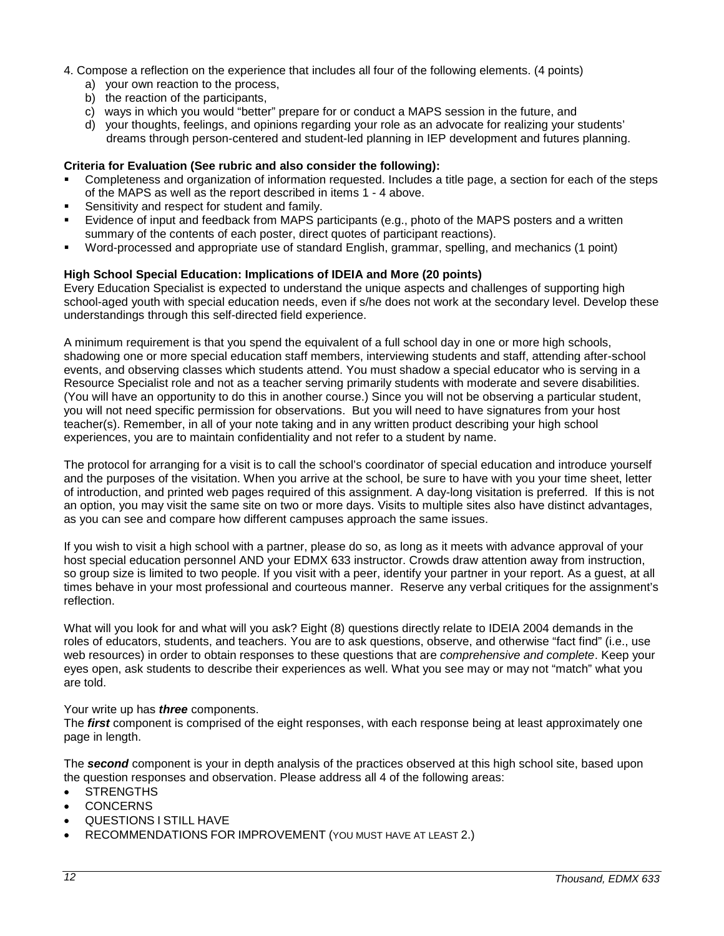- 4. Compose a reflection on the experience that includes all four of the following elements. (4 points)
	- a) your own reaction to the process,
	- b) the reaction of the participants,
	- c) ways in which you would "better" prepare for or conduct a MAPS session in the future, and
	- d) your thoughts, feelings, and opinions regarding your role as an advocate for realizing your students' dreams through person-centered and student-led planning in IEP development and futures planning.

#### **Criteria for Evaluation (See rubric and also consider the following):**

- Completeness and organization of information requested. Includes a title page, a section for each of the steps of the MAPS as well as the report described in items 1 - 4 above.
- Sensitivity and respect for student and family.
- Evidence of input and feedback from MAPS participants (e.g., photo of the MAPS posters and a written summary of the contents of each poster, direct quotes of participant reactions).
- Word-processed and appropriate use of standard English, grammar, spelling, and mechanics (1 point)

### **High School Special Education: Implications of IDEIA and More (20 points)**

Every Education Specialist is expected to understand the unique aspects and challenges of supporting high school-aged youth with special education needs, even if s/he does not work at the secondary level. Develop these understandings through this self-directed field experience.

A minimum requirement is that you spend the equivalent of a full school day in one or more high schools, shadowing one or more special education staff members, interviewing students and staff, attending after-school events, and observing classes which students attend. You must shadow a special educator who is serving in a Resource Specialist role and not as a teacher serving primarily students with moderate and severe disabilities. (You will have an opportunity to do this in another course.) Since you will not be observing a particular student, you will not need specific permission for observations. But you will need to have signatures from your host teacher(s). Remember, in all of your note taking and in any written product describing your high school experiences, you are to maintain confidentiality and not refer to a student by name.

The protocol for arranging for a visit is to call the school's coordinator of special education and introduce yourself and the purposes of the visitation. When you arrive at the school, be sure to have with you your time sheet, letter of introduction, and printed web pages required of this assignment. A day-long visitation is preferred. If this is not an option, you may visit the same site on two or more days. Visits to multiple sites also have distinct advantages, as you can see and compare how different campuses approach the same issues.

If you wish to visit a high school with a partner, please do so, as long as it meets with advance approval of your host special education personnel AND your EDMX 633 instructor. Crowds draw attention away from instruction, so group size is limited to two people. If you visit with a peer, identify your partner in your report. As a guest, at all times behave in your most professional and courteous manner. Reserve any verbal critiques for the assignment's reflection.

What will you look for and what will you ask? Eight (8) questions directly relate to IDEIA 2004 demands in the roles of educators, students, and teachers. You are to ask questions, observe, and otherwise "fact find" (i.e., use web resources) in order to obtain responses to these questions that are *comprehensive and complete*. Keep your eyes open, ask students to describe their experiences as well. What you see may or may not "match" what you are told.

#### Your write up has *three* components.

The *first* component is comprised of the eight responses, with each response being at least approximately one page in length.

The *second* component is your in depth analysis of the practices observed at this high school site, based upon the question responses and observation. Please address all 4 of the following areas:

- **STRENGTHS**
- CONCERNS
- QUESTIONS I STILL HAVE
- RECOMMENDATIONS FOR IMPROVEMENT (YOU MUST HAVE AT LEAST 2.)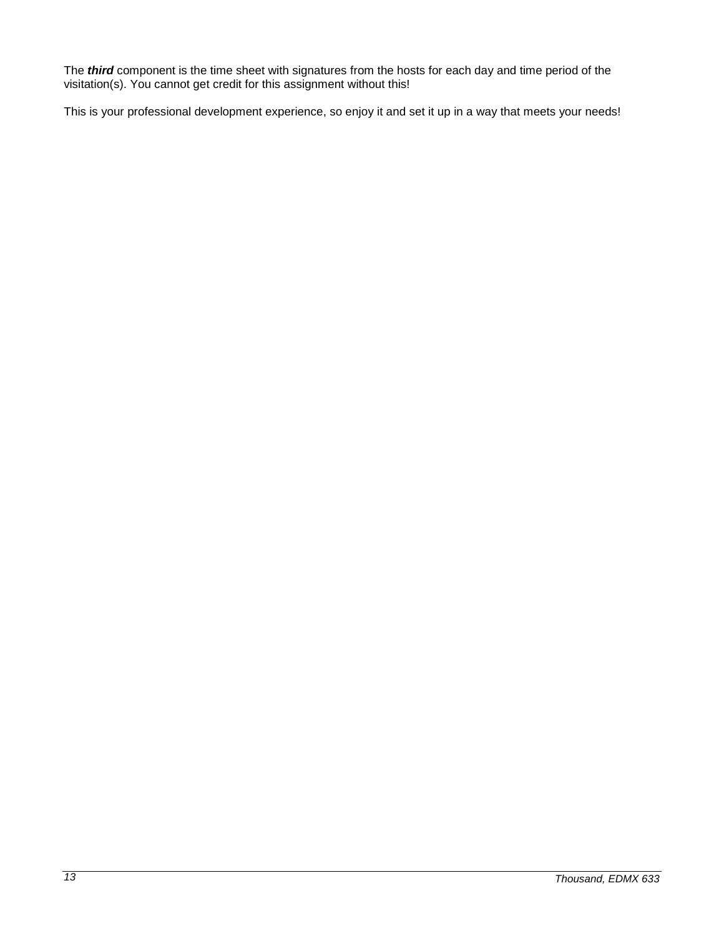The *third* component is the time sheet with signatures from the hosts for each day and time period of the visitation(s). You cannot get credit for this assignment without this!

This is your professional development experience, so enjoy it and set it up in a way that meets your needs!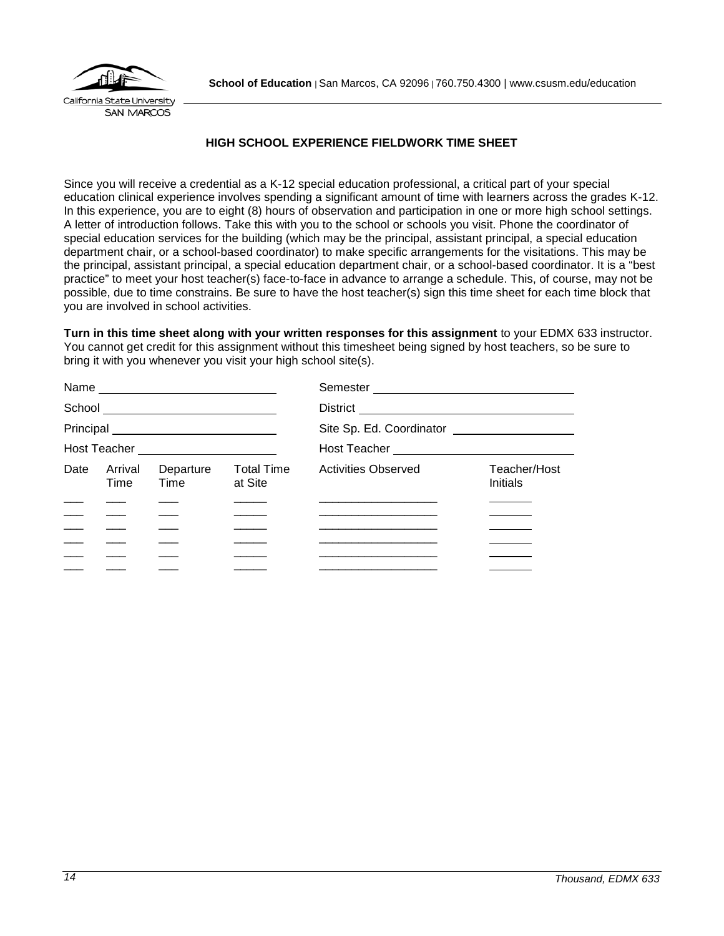

# **HIGH SCHOOL EXPERIENCE FIELDWORK TIME SHEET**

<span id="page-13-0"></span>Since you will receive a credential as a K-12 special education professional, a critical part of your special education clinical experience involves spending a significant amount of time with learners across the grades K-12. In this experience, you are to eight (8) hours of observation and participation in one or more high school settings. A letter of introduction follows. Take this with you to the school or schools you visit. Phone the coordinator of special education services for the building (which may be the principal, assistant principal, a special education department chair, or a school-based coordinator) to make specific arrangements for the visitations. This may be the principal, assistant principal, a special education department chair, or a school-based coordinator. It is a "best practice" to meet your host teacher(s) face-to-face in advance to arrange a schedule. This, of course, may not be possible, due to time constrains. Be sure to have the host teacher(s) sign this time sheet for each time block that you are involved in school activities.

**Turn in this time sheet along with your written responses for this assignment** to your EDMX 633 instructor. You cannot get credit for this assignment without this timesheet being signed by host teachers, so be sure to bring it with you whenever you visit your high school site(s).

|      |                 |                                      |                              | Semester _________________________               |                                 |
|------|-----------------|--------------------------------------|------------------------------|--------------------------------------------------|---------------------------------|
|      |                 |                                      |                              |                                                  |                                 |
|      |                 |                                      |                              | Site Sp. Ed. Coordinator _______________________ |                                 |
|      |                 | Host Teacher _______________________ |                              | Host Teacher _______________________________     |                                 |
| Date | Arrival<br>Time | Departure<br>Time                    | <b>Total Time</b><br>at Site | <b>Activities Observed</b>                       | Teacher/Host<br><b>Initials</b> |
|      |                 |                                      |                              |                                                  |                                 |
|      |                 |                                      |                              |                                                  |                                 |
|      |                 |                                      |                              |                                                  |                                 |
|      |                 |                                      |                              |                                                  |                                 |
|      |                 |                                      |                              |                                                  |                                 |
|      |                 |                                      |                              |                                                  |                                 |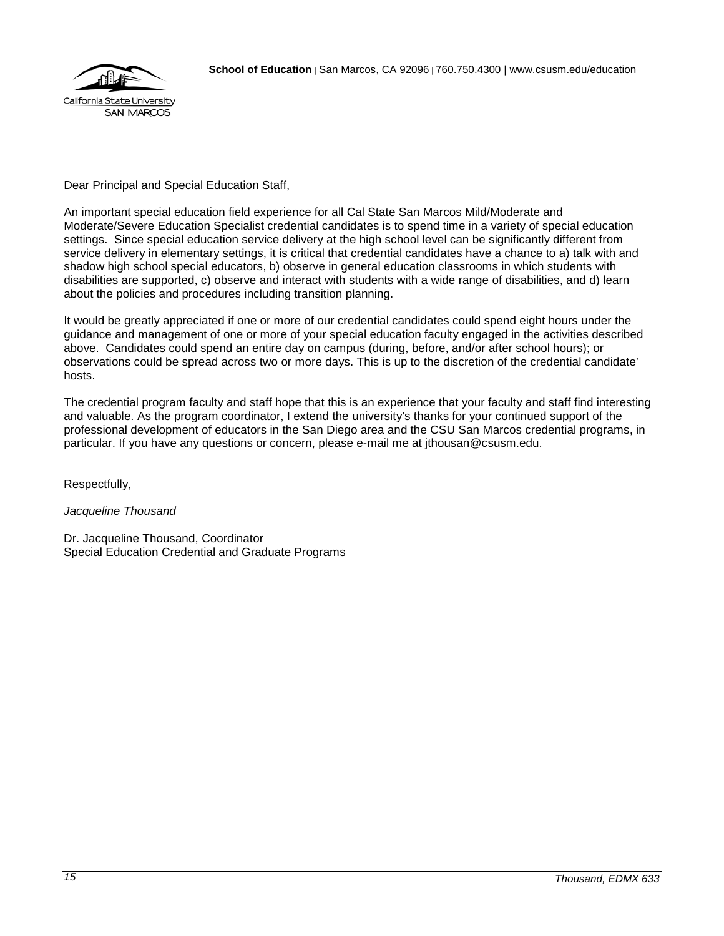

# Dear Principal and Special Education Staff,

An important special education field experience for all Cal State San Marcos Mild/Moderate and Moderate/Severe Education Specialist credential candidates is to spend time in a variety of special education settings. Since special education service delivery at the high school level can be significantly different from service delivery in elementary settings, it is critical that credential candidates have a chance to a) talk with and shadow high school special educators, b) observe in general education classrooms in which students with disabilities are supported, c) observe and interact with students with a wide range of disabilities, and d) learn about the policies and procedures including transition planning.

It would be greatly appreciated if one or more of our credential candidates could spend eight hours under the guidance and management of one or more of your special education faculty engaged in the activities described above. Candidates could spend an entire day on campus (during, before, and/or after school hours); or observations could be spread across two or more days. This is up to the discretion of the credential candidate' hosts.

The credential program faculty and staff hope that this is an experience that your faculty and staff find interesting and valuable. As the program coordinator, I extend the university's thanks for your continued support of the professional development of educators in the San Diego area and the CSU San Marcos credential programs, in particular. If you have any questions or concern, please e-mail me at jthousan@csusm.edu.

Respectfully,

# *Jacqueline Thousand*

Dr. Jacqueline Thousand, Coordinator Special Education Credential and Graduate Programs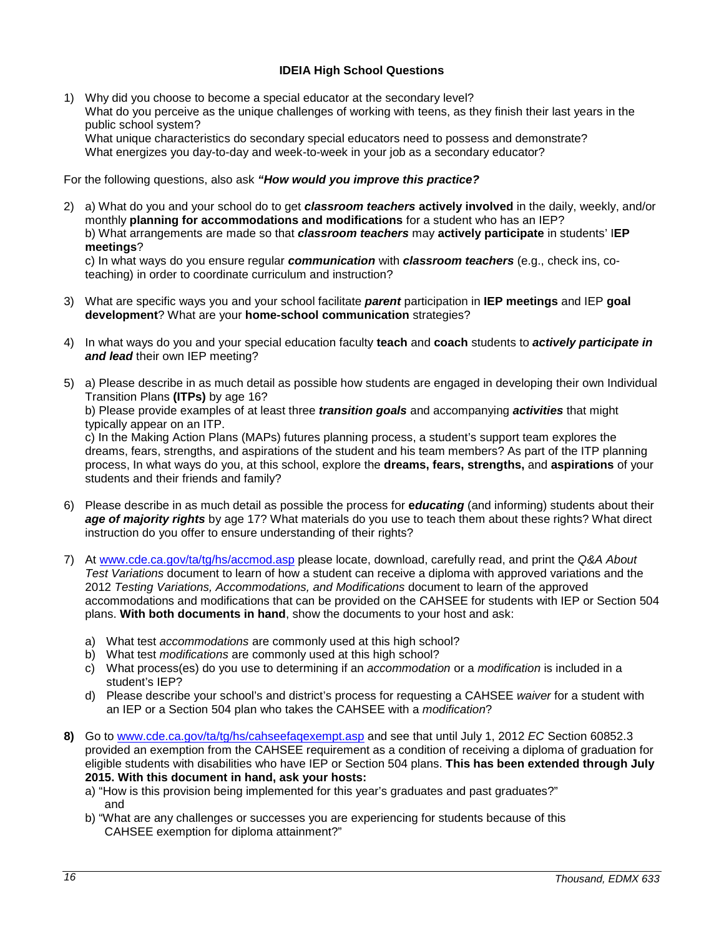# **IDEIA High School Questions**

<span id="page-15-0"></span>1) Why did you choose to become a special educator at the secondary level? What do you perceive as the unique challenges of working with teens, as they finish their last years in the public school system? What unique characteristics do secondary special educators need to possess and demonstrate? What energizes you day-to-day and week-to-week in your job as a secondary educator?

For the following questions, also ask *"How would you improve this practice?*

2) a) What do you and your school do to get *classroom teachers* **actively involved** in the daily, weekly, and/or monthly **planning for accommodations and modifications** for a student who has an IEP? b) What arrangements are made so that *classroom teachers* may **actively participate** in students' I**EP meetings**?

c) In what ways do you ensure regular *communication* with *classroom teachers* (e.g., check ins, coteaching) in order to coordinate curriculum and instruction?

- 3) What are specific ways you and your school facilitate *parent* participation in **IEP meetings** and IEP **goal development**? What are your **home-school communication** strategies?
- 4) In what ways do you and your special education faculty **teach** and **coach** students to *actively participate in and lead* their own IEP meeting?
- 5) a) Please describe in as much detail as possible how students are engaged in developing their own Individual Transition Plans **(ITPs)** by age 16?

b) Please provide examples of at least three *transition goals* and accompanying *activities* that might typically appear on an ITP.

c) In the Making Action Plans (MAPs) futures planning process, a student's support team explores the dreams, fears, strengths, and aspirations of the student and his team members? As part of the ITP planning process, In what ways do you, at this school, explore the **dreams, fears, strengths,** and **aspirations** of your students and their friends and family?

- 6) Please describe in as much detail as possible the process for **e***ducating* (and informing) students about their *age of majority rights* by age 17? What materials do you use to teach them about these rights? What direct instruction do you offer to ensure understanding of their rights?
- 7) At [www.cde.ca.gov/ta/tg/hs/accmod.asp](http://www.cde.ca.gov/ta/tg/hs/accmod.asp) please locate, download, carefully read, and print the *Q&A About Test Variations* document to learn of how a student can receive a diploma with approved variations and the 2012 *Testing Variations, Accommodations, and Modifications* document to learn of the approved accommodations and modifications that can be provided on the CAHSEE for students with IEP or Section 504 plans. **With both documents in hand**, show the documents to your host and ask:
	- a) What test *accommodations* are commonly used at this high school?
	- b) What test *modifications* are commonly used at this high school?
	- c) What process(es) do you use to determining if an *accommodation* or a *modification* is included in a student's IEP?
	- d) Please describe your school's and district's process for requesting a CAHSEE *waiver* for a student with an IEP or a Section 504 plan who takes the CAHSEE with a *modification*?
- **8)** Go to [www.cde.ca.gov/ta/tg/hs/cahseefaqexempt.asp](http://www.cde.ca.gov/ta/tg/hs/cahseefaqexempt.asp) and see that until July 1, 2012 *EC* Section 60852.3 provided an exemption from the CAHSEE requirement as a condition of receiving a diploma of graduation for eligible students with disabilities who have IEP or Section 504 plans. **This has been extended through July 2015. With this document in hand, ask your hosts:** 
	- a) "How is this provision being implemented for this year's graduates and past graduates?" and
	- b) "What are any challenges or successes you are experiencing for students because of this CAHSEE exemption for diploma attainment?"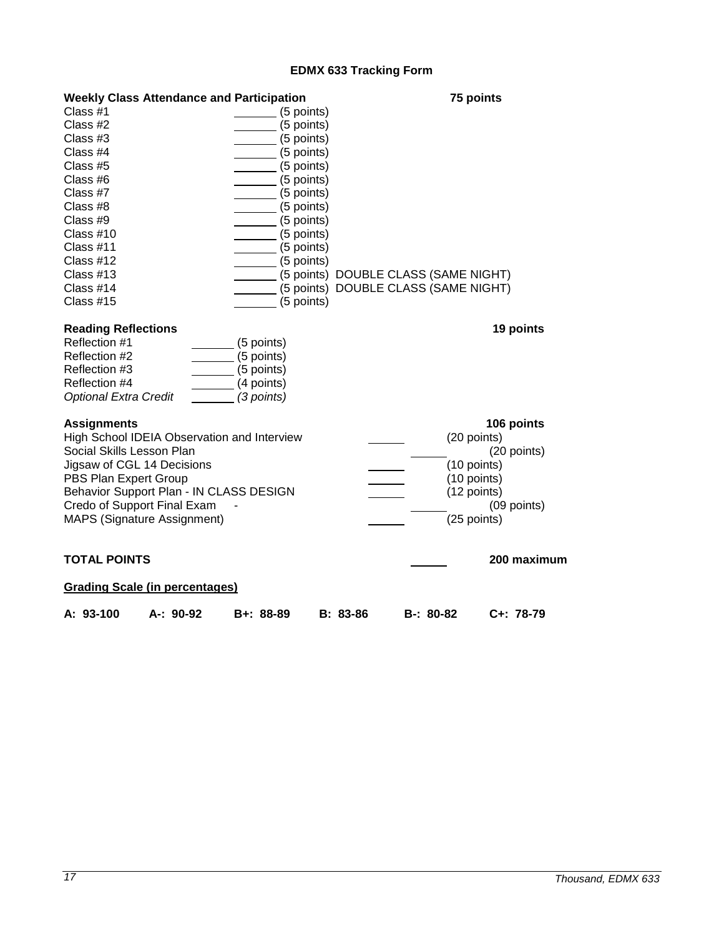# **EDMX 633 Tracking Form**

<span id="page-16-0"></span>

| <b>Weekly Class Attendance and Participation</b> |                              |                          |                                      |             | 75 points                  |                 |
|--------------------------------------------------|------------------------------|--------------------------|--------------------------------------|-------------|----------------------------|-----------------|
| Class #1                                         |                              | (5 points)               |                                      |             |                            |                 |
| Class #2                                         |                              | (5 points)               |                                      |             |                            |                 |
| Class #3                                         |                              | (5 points)               |                                      |             |                            |                 |
| Class #4                                         |                              | (5 points)               |                                      |             |                            |                 |
| Class #5                                         | (5 points)                   |                          |                                      |             |                            |                 |
| Class #6                                         | $\frac{1}{2}$ (5 points)     |                          |                                      |             |                            |                 |
| Class #7                                         | $\frac{1}{\sqrt{5}}$ points) |                          |                                      |             |                            |                 |
| Class #8                                         | $\frac{1}{\sqrt{5}}$ points) |                          |                                      |             |                            |                 |
| Class #9                                         | $\frac{1}{\sqrt{5}}$ points) |                          |                                      |             |                            |                 |
| Class $#10$                                      | $\frac{1}{\sqrt{5}}$ points) |                          |                                      |             |                            |                 |
| Class #11                                        |                              | $\frac{1}{1}$ (5 points) |                                      |             |                            |                 |
| Class #12                                        |                              | $\frac{1}{2}$ (5 points) |                                      |             |                            |                 |
| Class $#13$                                      |                              |                          | (5 points) DOUBLE CLASS (SAME NIGHT) |             |                            |                 |
| Class #14                                        |                              |                          | (5 points) DOUBLE CLASS (SAME NIGHT) |             |                            |                 |
| Class #15                                        |                              | (5 points)               |                                      |             |                            |                 |
|                                                  |                              |                          |                                      |             |                            |                 |
| <b>Reading Reflections</b>                       |                              |                          |                                      |             |                            | 19 points       |
| Reflection #1                                    | (5 points)                   |                          |                                      |             |                            |                 |
| Reflection #2                                    | (5 points)                   |                          |                                      |             |                            |                 |
| Reflection #3                                    | (5 points)                   |                          |                                      |             |                            |                 |
| Reflection #4                                    | (4 points)                   |                          |                                      |             |                            |                 |
| <b>Optional Extra Credit</b>                     | (3 points)                   |                          |                                      |             |                            |                 |
| <b>Assignments</b>                               |                              |                          |                                      |             |                            | 106 points      |
| High School IDEIA Observation and Interview      |                              |                          |                                      |             | (20 points)                |                 |
| Social Skills Lesson Plan                        |                              |                          |                                      |             |                            | (20 points)     |
| Jigsaw of CGL 14 Decisions                       |                              |                          |                                      |             | (10 points)                |                 |
| PBS Plan Expert Group                            |                              |                          |                                      |             |                            |                 |
| Behavior Support Plan - IN CLASS DESIGN          |                              |                          |                                      |             | (10 points)<br>(12 points) |                 |
| Credo of Support Final Exam                      |                              |                          |                                      |             |                            |                 |
| <b>MAPS (Signature Assignment)</b>               |                              |                          |                                      |             | (25 points)                | $(09$ points)   |
|                                                  |                              |                          |                                      |             |                            |                 |
| <b>TOTAL POINTS</b>                              |                              |                          |                                      |             |                            | 200 maximum     |
| <b>Grading Scale (in percentages)</b>            |                              |                          |                                      |             |                            |                 |
| A: 93-100<br>A-: 90-92                           | B+: 88-89                    |                          | $B: 83-86$                           | $B-: 80-82$ |                            | $C_{+}$ : 78-79 |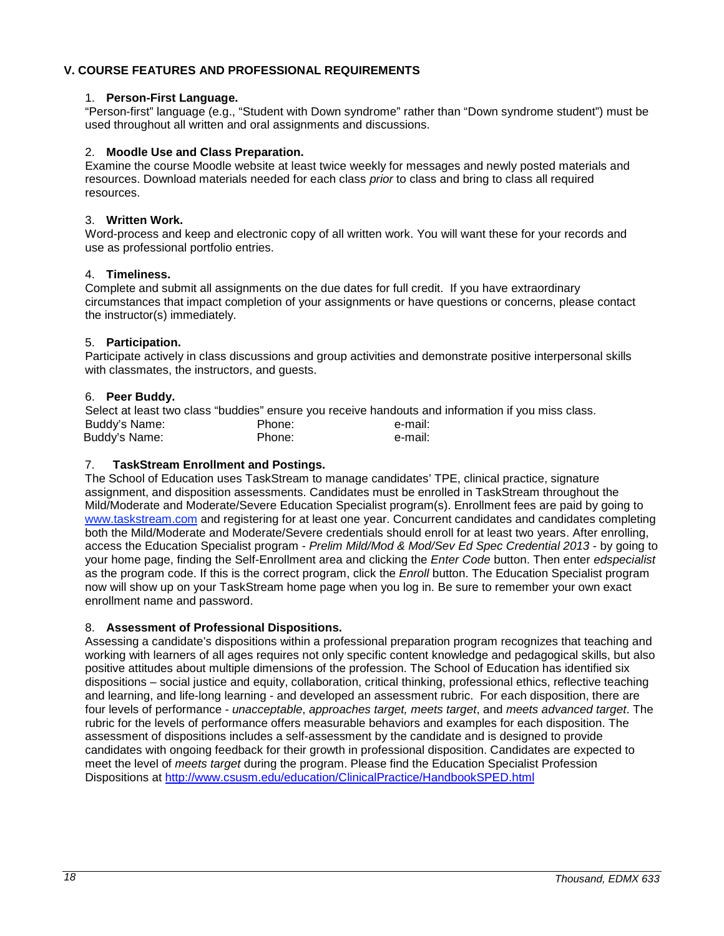# <span id="page-17-0"></span>**V. COURSE FEATURES AND PROFESSIONAL REQUIREMENTS**

### <span id="page-17-1"></span>1. **Person-First Language.**

"Person-first" language (e.g., "Student with Down syndrome" rather than "Down syndrome student") must be used throughout all written and oral assignments and discussions.

#### <span id="page-17-2"></span>2. **Moodle Use and Class Preparation.**

Examine the course Moodle website at least twice weekly for messages and newly posted materials and resources. Download materials needed for each class *prior* to class and bring to class all required resources.

#### <span id="page-17-3"></span>3. **Written Work.**

Word-process and keep and electronic copy of all written work. You will want these for your records and use as professional portfolio entries.

### <span id="page-17-4"></span>4. **Timeliness.**

Complete and submit all assignments on the due dates for full credit. If you have extraordinary circumstances that impact completion of your assignments or have questions or concerns, please contact the instructor(s) immediately.

### <span id="page-17-5"></span>5. **Participation.**

Participate actively in class discussions and group activities and demonstrate positive interpersonal skills with classmates, the instructors, and guests.

### <span id="page-17-6"></span>6. **Peer Buddy.**

Select at least two class "buddies" ensure you receive handouts and information if you miss class.<br>Buddy's Name:<br>e-mail: Buddy's Name: Thone: Ender Phone: Ender Phone: Ender Phone: e-mail:<br>Buddy's Name: Ender Phone: Ender Phone: E-mail: Buddy's Name:

### <span id="page-17-7"></span>7. **TaskStream Enrollment and Postings.**

The School of Education uses TaskStream to manage candidates' TPE, clinical practice, signature assignment, and disposition assessments. Candidates must be enrolled in TaskStream throughout the Mild/Moderate and Moderate/Severe Education Specialist program(s). Enrollment fees are paid by going to [www.taskstream.com](http://www.taskstrem.com/) and registering for at least one year. Concurrent candidates and candidates completing both the Mild/Moderate and Moderate/Severe credentials should enroll for at least two years. After enrolling, access the Education Specialist program - *Prelim Mild/Mod & Mod/Sev Ed Spec Credential 2013* - by going to your home page, finding the Self-Enrollment area and clicking the *Enter Code* button. Then enter *edspecialist*  as the program code. If this is the correct program, click the *Enroll* button. The Education Specialist program now will show up on your TaskStream home page when you log in. Be sure to remember your own exact enrollment name and password.

# <span id="page-17-8"></span>8. **Assessment of Professional Dispositions.**

Assessing a candidate's dispositions within a professional preparation program recognizes that teaching and working with learners of all ages requires not only specific content knowledge and pedagogical skills, but also positive attitudes about multiple dimensions of the profession. The School of Education has identified six dispositions – social justice and equity, collaboration, critical thinking, professional ethics, reflective teaching and learning, and life-long learning - and developed an assessment rubric. For each disposition, there are four levels of performance - *unacceptable*, *approaches target, meets target*, and *meets advanced target*. The rubric for the levels of performance offers measurable behaviors and examples for each disposition. The assessment of dispositions includes a self-assessment by the candidate and is designed to provide candidates with ongoing feedback for their growth in professional disposition. Candidates are expected to meet the level of *meets target* during the program. Please find the Education Specialist Profession Dispositions at<http://www.csusm.edu/education/ClinicalPractice/HandbookSPED.html>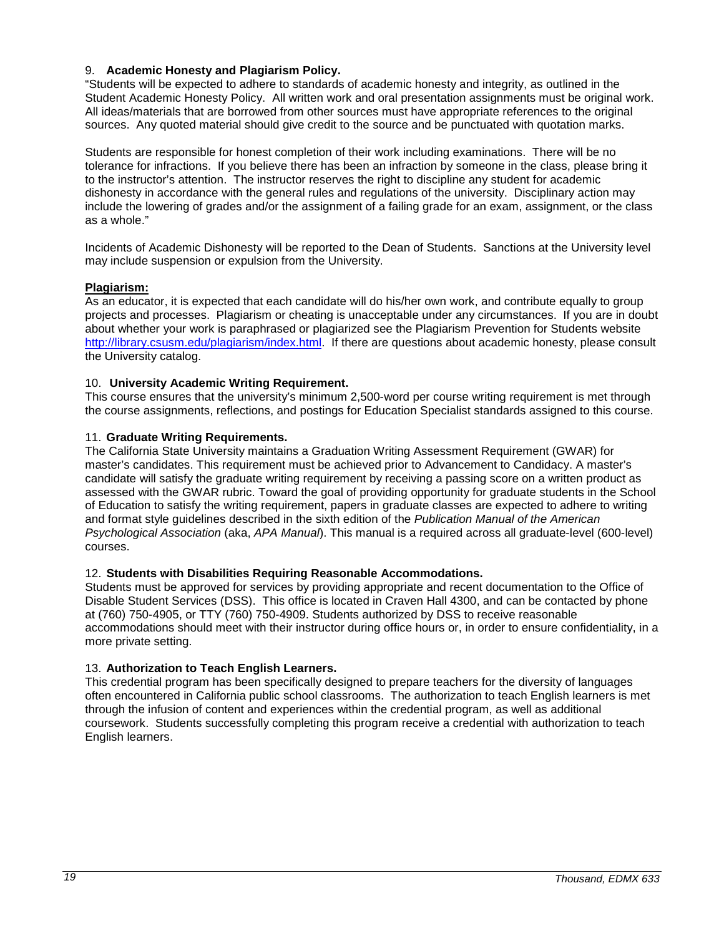### <span id="page-18-0"></span>9. **Academic Honesty and Plagiarism Policy.**

"Students will be expected to adhere to standards of academic honesty and integrity, as outlined in the Student Academic Honesty Policy. All written work and oral presentation assignments must be original work. All ideas/materials that are borrowed from other sources must have appropriate references to the original sources. Any quoted material should give credit to the source and be punctuated with quotation marks.

Students are responsible for honest completion of their work including examinations. There will be no tolerance for infractions. If you believe there has been an infraction by someone in the class, please bring it to the instructor's attention. The instructor reserves the right to discipline any student for academic dishonesty in accordance with the general rules and regulations of the university. Disciplinary action may include the lowering of grades and/or the assignment of a failing grade for an exam, assignment, or the class as a whole."

Incidents of Academic Dishonesty will be reported to the Dean of Students. Sanctions at the University level may include suspension or expulsion from the University.

### <span id="page-18-1"></span>**Plagiarism:**

As an educator, it is expected that each candidate will do his/her own work, and contribute equally to group projects and processes. Plagiarism or cheating is unacceptable under any circumstances. If you are in doubt about whether your work is paraphrased or plagiarized see the Plagiarism Prevention for Students website [http://library.csusm.edu/plagiarism/index.html.](http://library.csusm.edu/plagiarism/index.html) If there are questions about academic honesty, please consult the University catalog.

### <span id="page-18-2"></span>10. **University Academic Writing Requirement.**

This course ensures that the university's minimum 2,500-word per course writing requirement is met through the course assignments, reflections, and postings for Education Specialist standards assigned to this course.

### <span id="page-18-3"></span>11. **Graduate Writing Requirements.**

The California State University maintains a Graduation Writing Assessment Requirement (GWAR) for master's candidates. This requirement must be achieved prior to Advancement to Candidacy. A master's candidate will satisfy the graduate writing requirement by receiving a passing score on a written product as assessed with the GWAR rubric. Toward the goal of providing opportunity for graduate students in the School of Education to satisfy the writing requirement, papers in graduate classes are expected to adhere to writing and format style guidelines described in the sixth edition of the *Publication Manual of the American Psychological Association* (aka, *APA Manual*). This manual is a required across all graduate-level (600-level) courses.

#### <span id="page-18-4"></span>12. **Students with Disabilities Requiring Reasonable Accommodations.**

Students must be approved for services by providing appropriate and recent documentation to the Office of Disable Student Services (DSS). This office is located in Craven Hall 4300, and can be contacted by phone at (760) 750-4905, or TTY (760) 750-4909. Students authorized by DSS to receive reasonable accommodations should meet with their instructor during office hours or, in order to ensure confidentiality, in a more private setting.

#### <span id="page-18-5"></span>13. **Authorization to Teach English Learners.**

This credential program has been specifically designed to prepare teachers for the diversity of languages often encountered in California public school classrooms. The authorization to teach English learners is met through the infusion of content and experiences within the credential program, as well as additional coursework. Students successfully completing this program receive a credential with authorization to teach English learners.